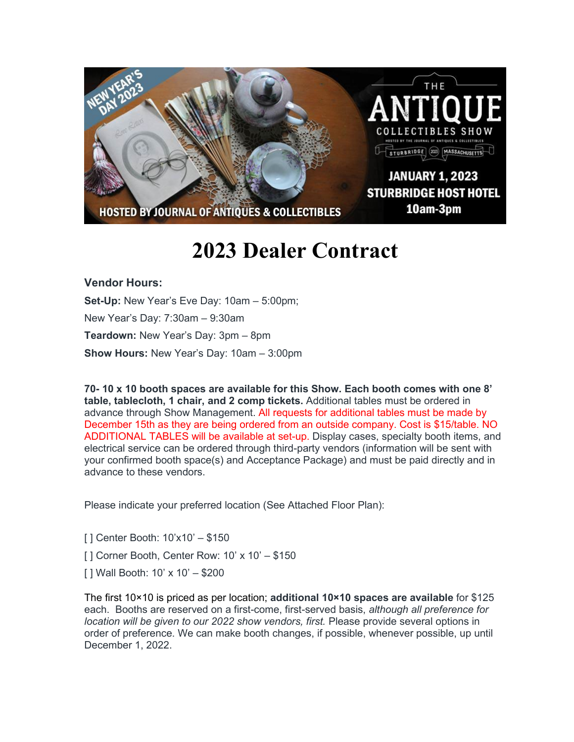

## **2023 Dealer Contract**

## **Vendor Hours:**

**Set-Up:** New Year's Eve Day: 10am – 5:00pm; New Year's Day: 7:30am – 9:30am **Teardown:** New Year's Day: 3pm – 8pm **Show Hours:** New Year's Day: 10am – 3:00pm

**70- 10 x 10 booth spaces are available for this Show. Each booth comes with one 8' table, tablecloth, 1 chair, and 2 comp tickets.** Additional tables must be ordered in advance through Show Management. All requests for additional tables must be made by December 15th as they are being ordered from an outside company. Cost is \$15/table. NO ADDITIONAL TABLES will be available at set-up. Display cases, specialty booth items, and electrical service can be ordered through third-party vendors (information will be sent with your confirmed booth space(s) and Acceptance Package) and must be paid directly and in advance to these vendors.

Please indicate your preferred location (See Attached Floor Plan):

[ ] Center Booth: 10'x10' – \$150

- [] Corner Booth, Center Row: 10' x 10' \$150
- [ ] Wall Booth: 10' x 10' \$200

The first 10×10 is priced as per location; **additional 10×10 spaces are available** for \$125 each. Booths are reserved on a first-come, first-served basis, *although all preference for location will be given to our 2022 show vendors, first.* Please provide several options in order of preference. We can make booth changes, if possible, whenever possible, up until December 1, 2022.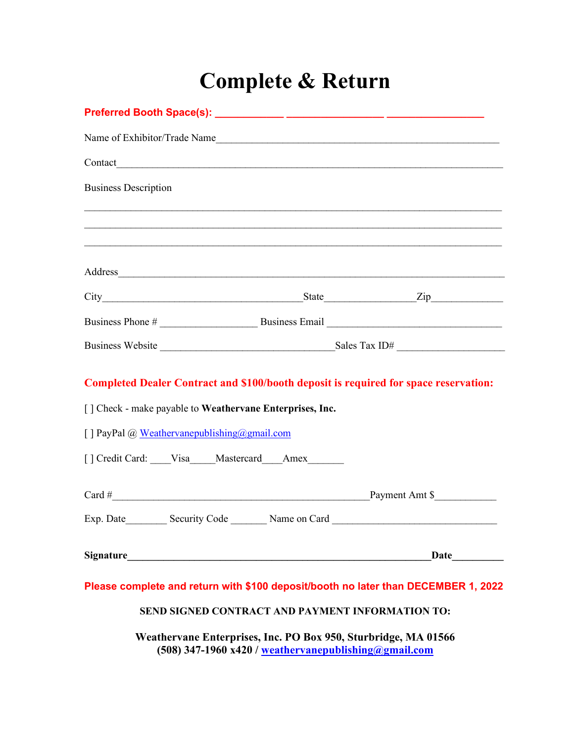## **Complete & Return**

|                             |                                                                                                                                                                                                                               |  | Name of Exhibitor/Trade Name                                                                                                           |  |  |  |  |  |  |  |
|-----------------------------|-------------------------------------------------------------------------------------------------------------------------------------------------------------------------------------------------------------------------------|--|----------------------------------------------------------------------------------------------------------------------------------------|--|--|--|--|--|--|--|
|                             |                                                                                                                                                                                                                               |  |                                                                                                                                        |  |  |  |  |  |  |  |
| <b>Business Description</b> |                                                                                                                                                                                                                               |  |                                                                                                                                        |  |  |  |  |  |  |  |
|                             |                                                                                                                                                                                                                               |  |                                                                                                                                        |  |  |  |  |  |  |  |
|                             |                                                                                                                                                                                                                               |  |                                                                                                                                        |  |  |  |  |  |  |  |
|                             |                                                                                                                                                                                                                               |  |                                                                                                                                        |  |  |  |  |  |  |  |
|                             |                                                                                                                                                                                                                               |  |                                                                                                                                        |  |  |  |  |  |  |  |
|                             |                                                                                                                                                                                                                               |  |                                                                                                                                        |  |  |  |  |  |  |  |
|                             |                                                                                                                                                                                                                               |  |                                                                                                                                        |  |  |  |  |  |  |  |
|                             |                                                                                                                                                                                                                               |  | <b>Completed Dealer Contract and \$100/booth deposit is required for space reservation:</b>                                            |  |  |  |  |  |  |  |
|                             | [] Check - make payable to Weathervane Enterprises, Inc.                                                                                                                                                                      |  |                                                                                                                                        |  |  |  |  |  |  |  |
|                             | [] PayPal @ Weathervanepublishing@gmail.com                                                                                                                                                                                   |  |                                                                                                                                        |  |  |  |  |  |  |  |
|                             | [] Credit Card: ____Visa____Mastercard___Amex______                                                                                                                                                                           |  |                                                                                                                                        |  |  |  |  |  |  |  |
|                             | $Card \#$                                                                                                                                                                                                                     |  | Payment Amt \$                                                                                                                         |  |  |  |  |  |  |  |
|                             |                                                                                                                                                                                                                               |  | Exp. Date ___________ Security Code __________ Name on Card _____________________                                                      |  |  |  |  |  |  |  |
|                             | Signature Signature and the set of the set of the set of the set of the set of the set of the set of the set of the set of the set of the set of the set of the set of the set of the set of the set of the set of the set of |  | <b>Date</b>                                                                                                                            |  |  |  |  |  |  |  |
|                             |                                                                                                                                                                                                                               |  | Please complete and return with \$100 deposit/booth no later than DECEMBER 1, 2022<br>SEND SIGNED CONTRACT AND PAYMENT INFORMATION TO: |  |  |  |  |  |  |  |

**Weathervane Enterprises, Inc. PO Box 950, Sturbridge, MA 01566 (508) 347-1960 x420 / [weathervanepublishing@gmail.com](mailto:weathervanepublishing@gmail.com)**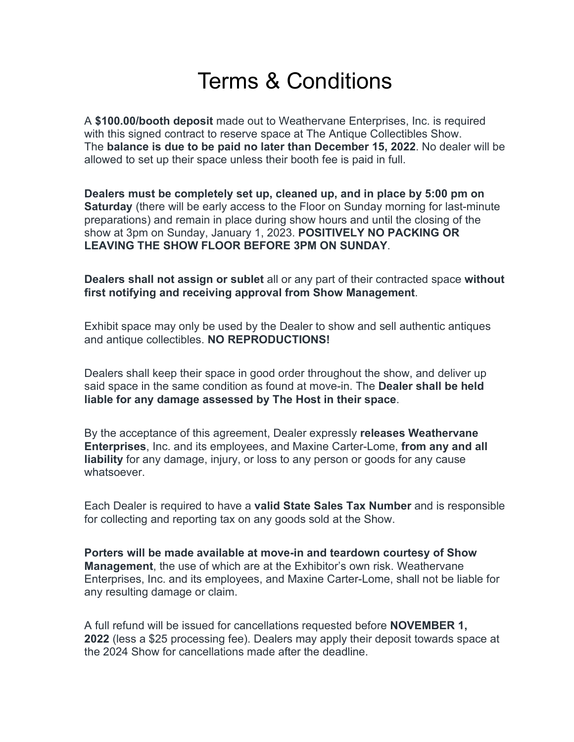## Terms & Conditions

A **\$100.00/booth deposit** made out to Weathervane Enterprises, Inc. is required with this signed contract to reserve space at The Antique Collectibles Show. The **balance is due to be paid no later than December 15, 2022**. No dealer will be allowed to set up their space unless their booth fee is paid in full.

**Dealers must be completely set up, cleaned up, and in place by 5:00 pm on Saturday** (there will be early access to the Floor on Sunday morning for last-minute preparations) and remain in place during show hours and until the closing of the show at 3pm on Sunday, January 1, 2023. **POSITIVELY NO PACKING OR LEAVING THE SHOW FLOOR BEFORE 3PM ON SUNDAY**.

**Dealers shall not assign or sublet** all or any part of their contracted space **without first notifying and receiving approval from Show Management**.

Exhibit space may only be used by the Dealer to show and sell authentic antiques and antique collectibles. **NO REPRODUCTIONS!**

Dealers shall keep their space in good order throughout the show, and deliver up said space in the same condition as found at move-in. The **Dealer shall be held liable for any damage assessed by The Host in their space**.

By the acceptance of this agreement, Dealer expressly **releases Weathervane Enterprises**, Inc. and its employees, and Maxine Carter-Lome, **from any and all liability** for any damage, injury, or loss to any person or goods for any cause whatsoever.

Each Dealer is required to have a **valid State Sales Tax Number** and is responsible for collecting and reporting tax on any goods sold at the Show.

**Porters will be made available at move-in and teardown courtesy of Show Management**, the use of which are at the Exhibitor's own risk. Weathervane Enterprises, Inc. and its employees, and Maxine Carter-Lome, shall not be liable for any resulting damage or claim.

A full refund will be issued for cancellations requested before **NOVEMBER 1, 2022** (less a \$25 processing fee). Dealers may apply their deposit towards space at the 2024 Show for cancellations made after the deadline.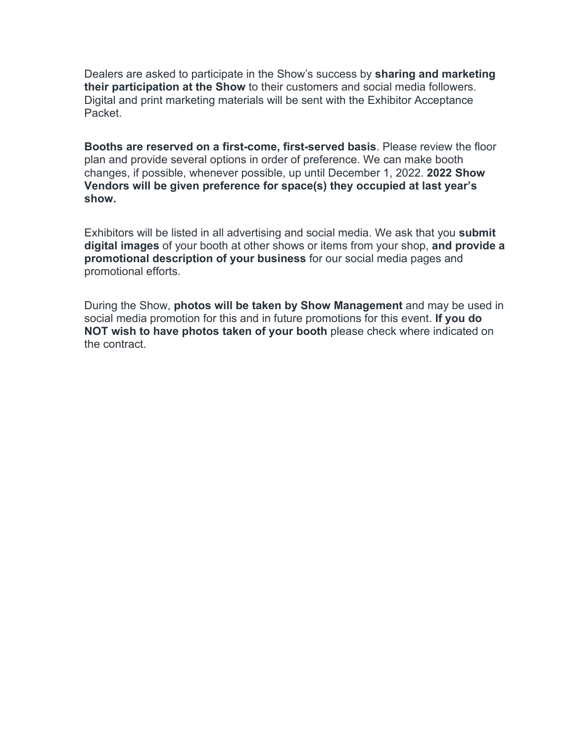Dealers are asked to participate in the Show's success by **sharing and marketing their participation at the Show** to their customers and social media followers. Digital and print marketing materials will be sent with the Exhibitor Acceptance Packet.

**Booths are reserved on a first-come, first-served basis**. Please review the floor plan and provide several options in order of preference. We can make booth changes, if possible, whenever possible, up until December 1, 2022. **2022 Show Vendors will be given preference for space(s) they occupied at last year's show.**

Exhibitors will be listed in all advertising and social media. We ask that you **submit digital images** of your booth at other shows or items from your shop, **and provide a promotional description of your business** for our social media pages and promotional efforts.

During the Show, **photos will be taken by Show Management** and may be used in social media promotion for this and in future promotions for this event. **If you do NOT wish to have photos taken of your booth** please check where indicated on the contract.